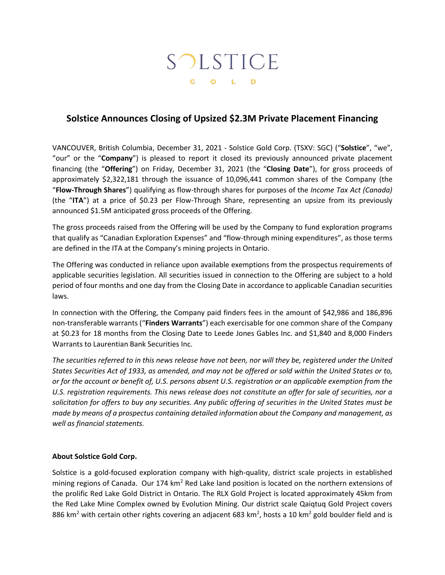## SOLSTICE G O L D

## **Solstice Announces Closing of Upsized \$2.3M Private Placement Financing**

VANCOUVER, British Columbia, December 31, 2021 - Solstice Gold Corp. (TSXV: SGC) ("**Solstice**", "we", "our" or the "**Company**") is pleased to report it closed its previously announced private placement financing (the "**Offering**") on Friday, December 31, 2021 (the "**Closing Date**"), for gross proceeds of approximately \$2,322,181 through the issuance of 10,096,441 common shares of the Company (the "**Flow-Through Shares**") qualifying as flow-through shares for purposes of the *Income Tax Act (Canada)*  (the "**ITA**") at a price of \$0.23 per Flow-Through Share, representing an upsize from its previously announced \$1.5M anticipated gross proceeds of the Offering.

The gross proceeds raised from the Offering will be used by the Company to fund exploration programs that qualify as "Canadian Exploration Expenses" and "flow-through mining expenditures", as those terms are defined in the ITA at the Company's mining projects in Ontario.

The Offering was conducted in reliance upon available exemptions from the prospectus requirements of applicable securities legislation. All securities issued in connection to the Offering are subject to a hold period of four months and one day from the Closing Date in accordance to applicable Canadian securities laws.

In connection with the Offering, the Company paid finders fees in the amount of \$42,986 and 186,896 non-transferable warrants ("**Finders Warrants**") each exercisable for one common share of the Company at \$0.23 for 18 months from the Closing Date to Leede Jones Gables Inc. and \$1,840 and 8,000 Finders Warrants to Laurentian Bank Securities Inc.

*The securities referred to in this news release have not been, nor will they be, registered under the United States Securities Act of 1933, as amended, and may not be offered or sold within the United States or to, or for the account or benefit of, U.S. persons absent U.S. registration or an applicable exemption from the U.S. registration requirements. This news release does not constitute an offer for sale of securities, nor a solicitation for offers to buy any securities. Any public offering of securities in the United States must be made by means of a prospectus containing detailed information about the Company and management, as well as financial statements.*

## **About Solstice Gold Corp.**

Solstice is a gold-focused exploration company with high-quality, district scale projects in established mining regions of Canada. Our 174 km<sup>2</sup> Red Lake land position is located on the northern extensions of the prolific Red Lake Gold District in Ontario. The RLX Gold Project is located approximately 45km from the Red Lake Mine Complex owned by Evolution Mining. Our district scale Qaiqtuq Gold Project covers 886 km<sup>2</sup> with certain other rights covering an adjacent 683 km<sup>2</sup>, hosts a 10 km<sup>2</sup> gold boulder field and is